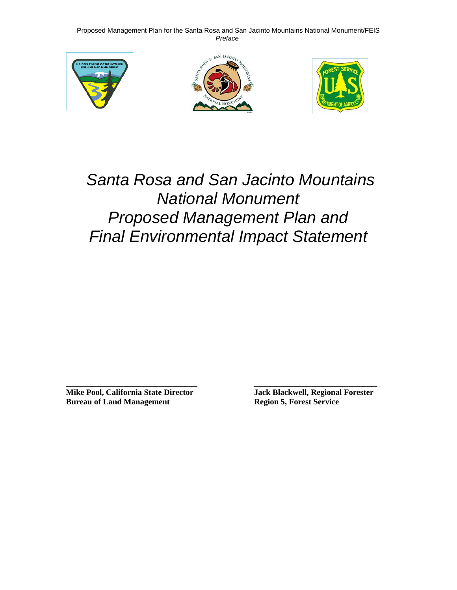





# *Santa Rosa and San Jacinto Mountains National Monument Proposed Management Plan and Final Environmental Impact Statement*

**\_\_\_\_\_\_\_\_\_\_\_\_\_\_\_\_\_\_\_\_\_\_\_\_\_\_\_\_\_\_\_\_ \_\_\_\_\_\_\_\_\_\_\_\_\_\_\_\_\_\_\_\_\_\_\_\_\_\_\_\_\_\_ Mike Pool, California State Director Jack Blackwell, Regional Forester Bureau of Land Management Region 5, Forest Service**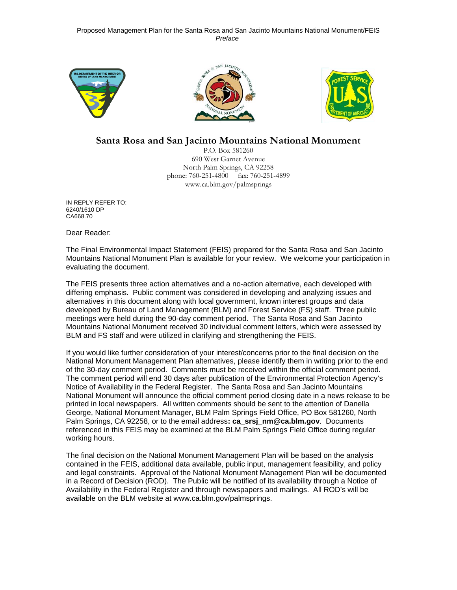





### **Santa Rosa and San Jacinto Mountains National Monument**

P.O. Box 581260 690 West Garnet Avenue North Palm Springs, CA 92258 phone: 760-251-4800 fax: 760-251-4899 www.ca.blm.gov/palmsprings

IN REPLY REFER TO: 6240/1610 DP CA668.70

Dear Reader:

The Final Environmental Impact Statement (FEIS) prepared for the Santa Rosa and San Jacinto Mountains National Monument Plan is available for your review. We welcome your participation in evaluating the document.

The FEIS presents three action alternatives and a no-action alternative, each developed with differing emphasis. Public comment was considered in developing and analyzing issues and alternatives in this document along with local government, known interest groups and data developed by Bureau of Land Management (BLM) and Forest Service (FS) staff. Three public meetings were held during the 90-day comment period. The Santa Rosa and San Jacinto Mountains National Monument received 30 individual comment letters, which were assessed by BLM and FS staff and were utilized in clarifying and strengthening the FEIS.

If you would like further consideration of your interest/concerns prior to the final decision on the National Monument Management Plan alternatives, please identify them in writing prior to the end of the 30-day comment period. Comments must be received within the official comment period. The comment period will end 30 days after publication of the Environmental Protection Agency's Notice of Availability in the Federal Register. The Santa Rosa and San Jacinto Mountains National Monument will announce the official comment period closing date in a news release to be printed in local newspapers. All written comments should be sent to the attention of Danella George, National Monument Manager, BLM Palm Springs Field Office, PO Box 581260, North Palm Springs, CA 92258, or to the email address**: ca\_srsj\_nm@ca.blm.gov**. Documents referenced in this FEIS may be examined at the BLM Palm Springs Field Office during regular working hours.

The final decision on the National Monument Management Plan will be based on the analysis contained in the FEIS, additional data available, public input, management feasibility, and policy and legal constraints. Approval of the National Monument Management Plan will be documented in a Record of Decision (ROD). The Public will be notified of its availability through a Notice of Availability in the Federal Register and through newspapers and mailings. All ROD's will be available on the BLM website at www.ca.blm.gov/palmsprings.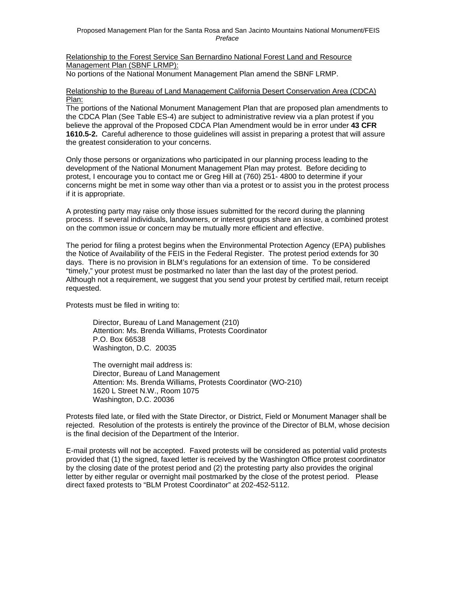Relationship to the Forest Service San Bernardino National Forest Land and Resource Management Plan (SBNF LRMP):

No portions of the National Monument Management Plan amend the SBNF LRMP.

#### Relationship to the Bureau of Land Management California Desert Conservation Area (CDCA) Plan:

The portions of the National Monument Management Plan that are proposed plan amendments to the CDCA Plan (See Table ES-4) are subject to administrative review via a plan protest if you believe the approval of the Proposed CDCA Plan Amendment would be in error under **43 CFR 1610.5-2.** Careful adherence to those guidelines will assist in preparing a protest that will assure the greatest consideration to your concerns.

Only those persons or organizations who participated in our planning process leading to the development of the National Monument Management Plan may protest. Before deciding to protest, I encourage you to contact me or Greg Hill at (760) 251- 4800 to determine if your concerns might be met in some way other than via a protest or to assist you in the protest process if it is appropriate.

A protesting party may raise only those issues submitted for the record during the planning process. If several individuals, landowners, or interest groups share an issue, a combined protest on the common issue or concern may be mutually more efficient and effective.

The period for filing a protest begins when the Environmental Protection Agency (EPA) publishes the Notice of Availability of the FEIS in the Federal Register. The protest period extends for 30 days. There is no provision in BLM's regulations for an extension of time. To be considered "timely," your protest must be postmarked no later than the last day of the protest period. Although not a requirement, we suggest that you send your protest by certified mail, return receipt requested.

Protests must be filed in writing to:

 Director, Bureau of Land Management (210) Attention: Ms. Brenda Williams, Protests Coordinator P.O. Box 66538 Washington, D.C. 20035

 The overnight mail address is: Director, Bureau of Land Management Attention: Ms. Brenda Williams, Protests Coordinator (WO-210) 1620 L Street N.W., Room 1075 Washington, D.C. 20036

Protests filed late, or filed with the State Director, or District, Field or Monument Manager shall be rejected. Resolution of the protests is entirely the province of the Director of BLM, whose decision is the final decision of the Department of the Interior.

E-mail protests will not be accepted. Faxed protests will be considered as potential valid protests provided that (1) the signed, faxed letter is received by the Washington Office protest coordinator by the closing date of the protest period and (2) the protesting party also provides the original letter by either regular or overnight mail postmarked by the close of the protest period. Please direct faxed protests to "BLM Protest Coordinator" at 202-452-5112.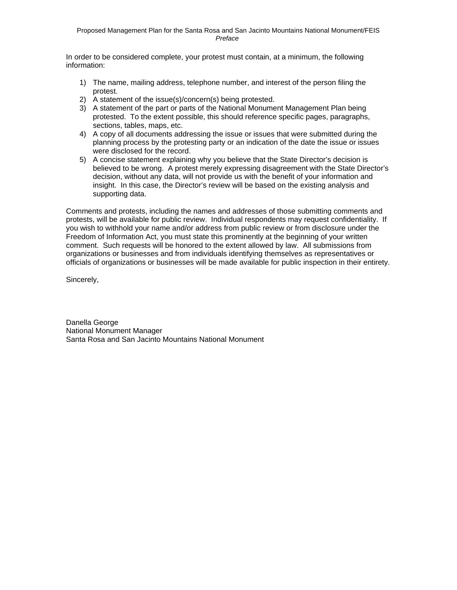In order to be considered complete, your protest must contain, at a minimum, the following information:

- 1) The name, mailing address, telephone number, and interest of the person filing the protest.
- 2) A statement of the issue(s)/concern(s) being protested.
- 3) A statement of the part or parts of the National Monument Management Plan being protested. To the extent possible, this should reference specific pages, paragraphs, sections, tables, maps, etc.
- 4) A copy of all documents addressing the issue or issues that were submitted during the planning process by the protesting party or an indication of the date the issue or issues were disclosed for the record.
- 5) A concise statement explaining why you believe that the State Director's decision is believed to be wrong. A protest merely expressing disagreement with the State Director's decision, without any data, will not provide us with the benefit of your information and insight. In this case, the Director's review will be based on the existing analysis and supporting data.

Comments and protests, including the names and addresses of those submitting comments and protests, will be available for public review. Individual respondents may request confidentiality. If you wish to withhold your name and/or address from public review or from disclosure under the Freedom of Information Act, you must state this prominently at the beginning of your written comment. Such requests will be honored to the extent allowed by law. All submissions from organizations or businesses and from individuals identifying themselves as representatives or officials of organizations or businesses will be made available for public inspection in their entirety.

Sincerely,

Danella George National Monument Manager Santa Rosa and San Jacinto Mountains National Monument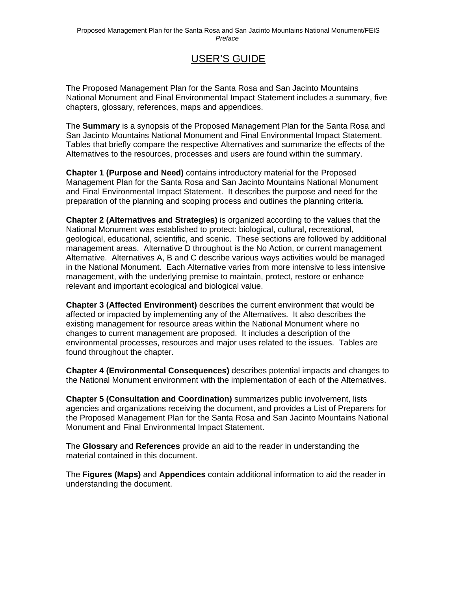### USER'S GUIDE

The Proposed Management Plan for the Santa Rosa and San Jacinto Mountains National Monument and Final Environmental Impact Statement includes a summary, five chapters, glossary, references, maps and appendices.

The **Summary** is a synopsis of the Proposed Management Plan for the Santa Rosa and San Jacinto Mountains National Monument and Final Environmental Impact Statement. Tables that briefly compare the respective Alternatives and summarize the effects of the Alternatives to the resources, processes and users are found within the summary.

**Chapter 1 (Purpose and Need)** contains introductory material for the Proposed Management Plan for the Santa Rosa and San Jacinto Mountains National Monument and Final Environmental Impact Statement. It describes the purpose and need for the preparation of the planning and scoping process and outlines the planning criteria.

**Chapter 2 (Alternatives and Strategies)** is organized according to the values that the National Monument was established to protect: biological, cultural, recreational, geological, educational, scientific, and scenic. These sections are followed by additional management areas. Alternative D throughout is the No Action, or current management Alternative. Alternatives A, B and C describe various ways activities would be managed in the National Monument. Each Alternative varies from more intensive to less intensive management, with the underlying premise to maintain, protect, restore or enhance relevant and important ecological and biological value.

**Chapter 3 (Affected Environment)** describes the current environment that would be affected or impacted by implementing any of the Alternatives. It also describes the existing management for resource areas within the National Monument where no changes to current management are proposed. It includes a description of the environmental processes, resources and major uses related to the issues. Tables are found throughout the chapter.

**Chapter 4 (Environmental Consequences)** describes potential impacts and changes to the National Monument environment with the implementation of each of the Alternatives.

**Chapter 5 (Consultation and Coordination)** summarizes public involvement, lists agencies and organizations receiving the document, and provides a List of Preparers for the Proposed Management Plan for the Santa Rosa and San Jacinto Mountains National Monument and Final Environmental Impact Statement.

The **Glossary** and **References** provide an aid to the reader in understanding the material contained in this document.

The **Figures (Maps)** and **Appendices** contain additional information to aid the reader in understanding the document.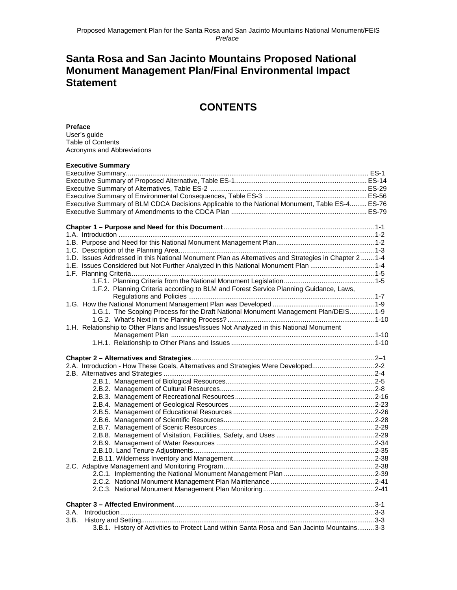### **Santa Rosa and San Jacinto Mountains Proposed National Monument Management Plan/Final Environmental Impact Statement**

### **CONTENTS**

#### **Preface**

User's guide Table of Contents Acronyms and Abbreviations

| <b>Executive Summary</b>                                                                              |  |
|-------------------------------------------------------------------------------------------------------|--|
|                                                                                                       |  |
|                                                                                                       |  |
|                                                                                                       |  |
|                                                                                                       |  |
| Executive Summary of BLM CDCA Decisions Applicable to the National Monument, Table ES-4 ES-76         |  |
|                                                                                                       |  |
|                                                                                                       |  |
|                                                                                                       |  |
|                                                                                                       |  |
|                                                                                                       |  |
| 1.D. Issues Addressed in this National Monument Plan as Alternatives and Strategies in Chapter 2  1-4 |  |
| 1-E. Issues Considered but Not Further Analyzed in this National Monument Plan 1-4                    |  |
|                                                                                                       |  |
| 1.F.2. Planning Criteria according to BLM and Forest Service Planning Guidance, Laws,                 |  |
|                                                                                                       |  |
|                                                                                                       |  |
| 1.G.1. The Scoping Process for the Draft National Monument Management Plan/DEIS 1-9                   |  |
|                                                                                                       |  |
| 1.H. Relationship to Other Plans and Issues/Issues Not Analyzed in this National Monument             |  |
|                                                                                                       |  |
|                                                                                                       |  |
|                                                                                                       |  |
|                                                                                                       |  |
| 2.A. Introduction - How These Goals, Alternatives and Strategies Were Developed2-2                    |  |
|                                                                                                       |  |
|                                                                                                       |  |
|                                                                                                       |  |
|                                                                                                       |  |
|                                                                                                       |  |
|                                                                                                       |  |
|                                                                                                       |  |
|                                                                                                       |  |
|                                                                                                       |  |
|                                                                                                       |  |
|                                                                                                       |  |
|                                                                                                       |  |
|                                                                                                       |  |
|                                                                                                       |  |
|                                                                                                       |  |
|                                                                                                       |  |
| $Introduction 1, 3-3$<br>3.A.                                                                         |  |
|                                                                                                       |  |
| 3.B.1. History of Activities to Protect Land within Santa Rosa and San Jacinto Mountains 3-3          |  |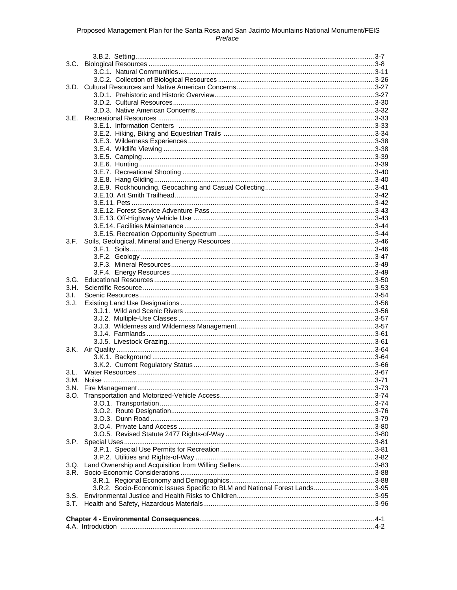| 3.E.  |                                                                             |  |
|-------|-----------------------------------------------------------------------------|--|
|       |                                                                             |  |
|       |                                                                             |  |
|       |                                                                             |  |
|       |                                                                             |  |
|       |                                                                             |  |
|       |                                                                             |  |
|       |                                                                             |  |
|       |                                                                             |  |
|       |                                                                             |  |
|       |                                                                             |  |
|       |                                                                             |  |
|       |                                                                             |  |
|       |                                                                             |  |
|       |                                                                             |  |
|       |                                                                             |  |
| 3.F.  |                                                                             |  |
|       |                                                                             |  |
|       |                                                                             |  |
|       |                                                                             |  |
|       |                                                                             |  |
|       |                                                                             |  |
|       |                                                                             |  |
| 3.1.  |                                                                             |  |
| 3. J. |                                                                             |  |
|       |                                                                             |  |
|       |                                                                             |  |
|       |                                                                             |  |
|       |                                                                             |  |
|       |                                                                             |  |
|       |                                                                             |  |
|       |                                                                             |  |
|       |                                                                             |  |
| 3.L.  |                                                                             |  |
|       |                                                                             |  |
|       |                                                                             |  |
|       |                                                                             |  |
|       |                                                                             |  |
|       |                                                                             |  |
|       |                                                                             |  |
|       |                                                                             |  |
|       |                                                                             |  |
|       |                                                                             |  |
|       |                                                                             |  |
|       |                                                                             |  |
|       |                                                                             |  |
|       |                                                                             |  |
|       |                                                                             |  |
|       | 3.R.2. Socio-Economic Issues Specific to BLM and National Forest Lands 3-95 |  |
|       |                                                                             |  |
|       |                                                                             |  |
|       |                                                                             |  |
|       |                                                                             |  |
|       |                                                                             |  |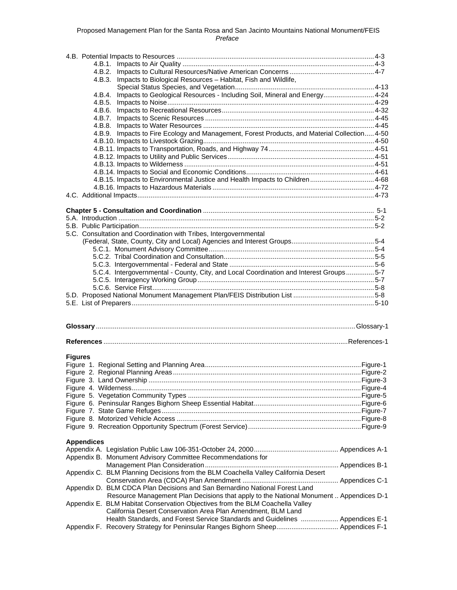|                   | 4.B.3. Impacts to Biological Resources - Habitat, Fish and Wildlife,                                                                                                                                                                    |  |
|-------------------|-----------------------------------------------------------------------------------------------------------------------------------------------------------------------------------------------------------------------------------------|--|
|                   |                                                                                                                                                                                                                                         |  |
|                   | 4.B.4. Impacts to Geological Resources - Including Soil, Mineral and Energy 4-24                                                                                                                                                        |  |
|                   |                                                                                                                                                                                                                                         |  |
|                   |                                                                                                                                                                                                                                         |  |
|                   |                                                                                                                                                                                                                                         |  |
|                   | 4.B.9. Impacts to Fire Ecology and Management, Forest Products, and Material Collection 4-50                                                                                                                                            |  |
|                   |                                                                                                                                                                                                                                         |  |
|                   |                                                                                                                                                                                                                                         |  |
|                   |                                                                                                                                                                                                                                         |  |
|                   |                                                                                                                                                                                                                                         |  |
|                   |                                                                                                                                                                                                                                         |  |
|                   | 4.B.15. Impacts to Environmental Justice and Health Impacts to Children4-68                                                                                                                                                             |  |
|                   |                                                                                                                                                                                                                                         |  |
|                   |                                                                                                                                                                                                                                         |  |
|                   |                                                                                                                                                                                                                                         |  |
|                   |                                                                                                                                                                                                                                         |  |
|                   |                                                                                                                                                                                                                                         |  |
|                   |                                                                                                                                                                                                                                         |  |
|                   | 5.C. Consultation and Coordination with Tribes, Intergovernmental                                                                                                                                                                       |  |
|                   |                                                                                                                                                                                                                                         |  |
|                   |                                                                                                                                                                                                                                         |  |
|                   |                                                                                                                                                                                                                                         |  |
|                   |                                                                                                                                                                                                                                         |  |
|                   | 5.C.4. Intergovernmental - County, City, and Local Coordination and Interest Groups5-7                                                                                                                                                  |  |
|                   |                                                                                                                                                                                                                                         |  |
|                   |                                                                                                                                                                                                                                         |  |
|                   |                                                                                                                                                                                                                                         |  |
|                   |                                                                                                                                                                                                                                         |  |
|                   |                                                                                                                                                                                                                                         |  |
|                   |                                                                                                                                                                                                                                         |  |
|                   |                                                                                                                                                                                                                                         |  |
|                   |                                                                                                                                                                                                                                         |  |
| <b>Figures</b>    |                                                                                                                                                                                                                                         |  |
|                   |                                                                                                                                                                                                                                         |  |
|                   |                                                                                                                                                                                                                                         |  |
|                   |                                                                                                                                                                                                                                         |  |
|                   |                                                                                                                                                                                                                                         |  |
|                   |                                                                                                                                                                                                                                         |  |
|                   |                                                                                                                                                                                                                                         |  |
|                   |                                                                                                                                                                                                                                         |  |
|                   |                                                                                                                                                                                                                                         |  |
|                   |                                                                                                                                                                                                                                         |  |
| <b>Appendices</b> |                                                                                                                                                                                                                                         |  |
|                   |                                                                                                                                                                                                                                         |  |
|                   | Appendix B. Monument Advisory Committee Recommendations for                                                                                                                                                                             |  |
|                   | Appendix C. BLM Planning Decisions from the BLM Coachella Valley California Desert                                                                                                                                                      |  |
|                   | Appendix D. BLM CDCA Plan Decisions and San Bernardino National Forest Land                                                                                                                                                             |  |
|                   | Resource Management Plan Decisions that apply to the National Monument  Appendices D-1<br>Appendix E. BLM Habitat Conservation Objectives from the BLM Coachella Valley<br>California Desert Conservation Area Plan Amendment, BLM Land |  |
|                   | Health Standards, and Forest Service Standards and Guidelines  Appendices E-1<br>Appendix F. Recovery Strategy for Peninsular Ranges Bighorn Sheep Appendices F-1                                                                       |  |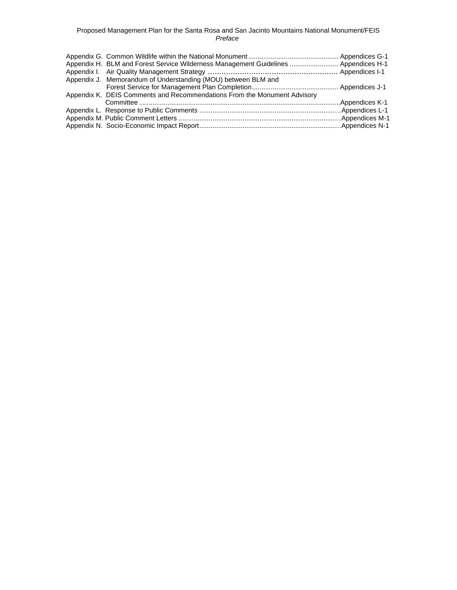| Appendix H. BLM and Forest Service Wilderness Management Guidelines  Appendices H-1 |  |
|-------------------------------------------------------------------------------------|--|
|                                                                                     |  |
| Appendix J. Memorandum of Understanding (MOU) between BLM and                       |  |
|                                                                                     |  |
| Appendix K. DEIS Comments and Recommendations From the Monument Advisory            |  |
|                                                                                     |  |
|                                                                                     |  |
|                                                                                     |  |
|                                                                                     |  |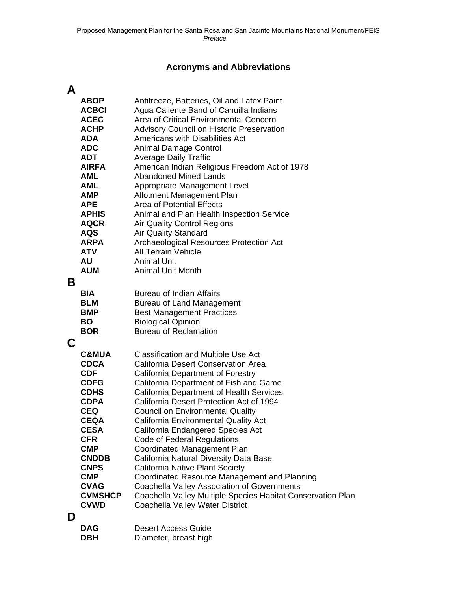## **Acronyms and Abbreviations**

## **A**

|   | <b>ABOP</b>              | Antifreeze, Batteries, Oil and Latex Paint                  |
|---|--------------------------|-------------------------------------------------------------|
|   | <b>ACBCI</b>             | Agua Caliente Band of Cahuilla Indians                      |
|   | <b>ACEC</b>              | Area of Critical Environmental Concern                      |
|   | <b>ACHP</b>              | <b>Advisory Council on Historic Preservation</b>            |
|   | <b>ADA</b>               | Americans with Disabilities Act                             |
|   | <b>ADC</b>               | <b>Animal Damage Control</b>                                |
|   | <b>ADT</b>               | <b>Average Daily Traffic</b>                                |
|   | <b>AIRFA</b>             | American Indian Religious Freedom Act of 1978               |
|   | <b>AML</b>               | <b>Abandoned Mined Lands</b>                                |
|   | <b>AML</b>               | Appropriate Management Level                                |
|   | <b>AMP</b>               | Allotment Management Plan                                   |
|   | <b>APE</b>               | <b>Area of Potential Effects</b>                            |
|   | <b>APHIS</b>             | Animal and Plan Health Inspection Service                   |
|   | <b>AQCR</b>              | <b>Air Quality Control Regions</b>                          |
|   | <b>AQS</b>               | <b>Air Quality Standard</b>                                 |
|   | <b>ARPA</b>              | Archaeological Resources Protection Act                     |
|   | <b>ATV</b>               | <b>All Terrain Vehicle</b>                                  |
|   | AU                       | <b>Animal Unit</b>                                          |
|   | <b>AUM</b>               | <b>Animal Unit Month</b>                                    |
| Β |                          |                                                             |
|   |                          |                                                             |
|   | <b>BIA</b><br><b>BLM</b> | <b>Bureau of Indian Affairs</b>                             |
|   | <b>BMP</b>               | <b>Bureau of Land Management</b>                            |
|   | <b>BO</b>                | <b>Best Management Practices</b>                            |
|   | <b>BOR</b>               | <b>Biological Opinion</b><br><b>Bureau of Reclamation</b>   |
|   |                          |                                                             |
| C |                          |                                                             |
|   | <b>C&amp;MUA</b>         | <b>Classification and Multiple Use Act</b>                  |
|   | <b>CDCA</b>              | <b>California Desert Conservation Area</b>                  |
|   | <b>CDF</b>               | California Department of Forestry                           |
|   | <b>CDFG</b>              | California Department of Fish and Game                      |
|   | <b>CDHS</b>              | <b>California Department of Health Services</b>             |
|   | <b>CDPA</b>              | California Desert Protection Act of 1994                    |
|   | <b>CEQ</b>               | <b>Council on Environmental Quality</b>                     |
|   | <b>CEQA</b>              | <b>California Environmental Quality Act</b>                 |
|   | <b>CESA</b>              | California Endangered Species Act                           |
|   | <b>CFR</b>               | Code of Federal Regulations                                 |
|   | <b>CMP</b>               | <b>Coordinated Management Plan</b>                          |
|   | <b>CNDDB</b>             | California Natural Diversity Data Base                      |
|   | <b>CNPS</b>              | California Native Plant Society                             |
|   | <b>CMP</b>               | Coordinated Resource Management and Planning                |
|   | <b>CVAG</b>              | <b>Coachella Valley Association of Governments</b>          |
|   | <b>CVMSHCP</b>           | Coachella Valley Multiple Species Habitat Conservation Plan |
|   | <b>CVWD</b>              | Coachella Valley Water District                             |
| D |                          |                                                             |
|   |                          |                                                             |

| <b>DAG</b> | <b>Desert Access Guide</b> |
|------------|----------------------------|
| <b>DBH</b> | Diameter, breast high      |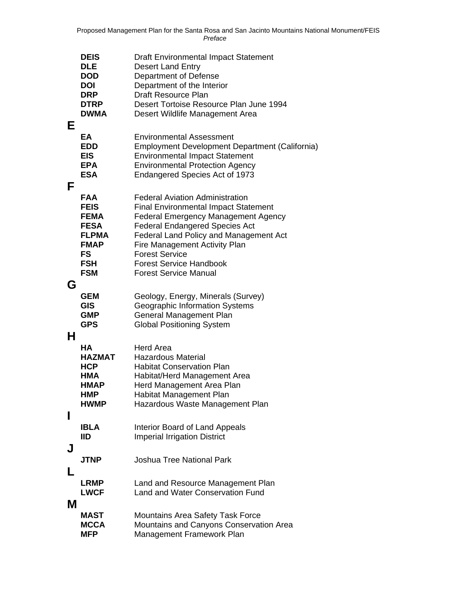|        | <b>DEIS</b><br><b>DLE</b><br><b>DOD</b><br><b>DOI</b><br><b>DRP</b><br><b>DTRP</b>                                       | <b>Draft Environmental Impact Statement</b><br><b>Desert Land Entry</b><br>Department of Defense<br>Department of the Interior<br><b>Draft Resource Plan</b><br>Desert Tortoise Resource Plan June 1994                                                                                                                                                   |
|--------|--------------------------------------------------------------------------------------------------------------------------|-----------------------------------------------------------------------------------------------------------------------------------------------------------------------------------------------------------------------------------------------------------------------------------------------------------------------------------------------------------|
|        | <b>DWMA</b>                                                                                                              | Desert Wildlife Management Area                                                                                                                                                                                                                                                                                                                           |
| Е<br>F | EA<br><b>EDD</b><br><b>EIS</b><br><b>EPA</b><br><b>ESA</b>                                                               | <b>Environmental Assessment</b><br>Employment Development Department (California)<br><b>Environmental Impact Statement</b><br><b>Environmental Protection Agency</b><br><b>Endangered Species Act of 1973</b>                                                                                                                                             |
|        | <b>FAA</b><br><b>FEIS</b><br><b>FEMA</b><br><b>FESA</b><br><b>FLPMA</b><br><b>FMAP</b><br>FS<br><b>FSH</b><br><b>FSM</b> | <b>Federal Aviation Administration</b><br><b>Final Environmental Impact Statement</b><br><b>Federal Emergency Management Agency</b><br><b>Federal Endangered Species Act</b><br><b>Federal Land Policy and Management Act</b><br>Fire Management Activity Plan<br><b>Forest Service</b><br><b>Forest Service Handbook</b><br><b>Forest Service Manual</b> |
| G<br>Н | <b>GEM</b><br><b>GIS</b><br><b>GMP</b><br><b>GPS</b>                                                                     | Geology, Energy, Minerals (Survey)<br><b>Geographic Information Systems</b><br>General Management Plan<br><b>Global Positioning System</b>                                                                                                                                                                                                                |
|        | HА<br><b>HAZMAT</b><br><b>HCP</b><br>HMA<br><b>HMAP</b><br>HMP<br><b>HWMP</b>                                            | <b>Herd Area</b><br><b>Hazardous Material</b><br><b>Habitat Conservation Plan</b><br>Habitat/Herd Management Area<br>Herd Management Area Plan<br>Habitat Management Plan<br>Hazardous Waste Management Plan                                                                                                                                              |
| I      | <b>IBLA</b><br>IID                                                                                                       | Interior Board of Land Appeals<br><b>Imperial Irrigation District</b>                                                                                                                                                                                                                                                                                     |
| J<br>L | <b>JTNP</b>                                                                                                              | <b>Joshua Tree National Park</b>                                                                                                                                                                                                                                                                                                                          |
| Μ      | <b>LRMP</b><br><b>LWCF</b>                                                                                               | Land and Resource Management Plan<br><b>Land and Water Conservation Fund</b>                                                                                                                                                                                                                                                                              |
|        | <b>MAST</b><br><b>MCCA</b><br><b>MFP</b>                                                                                 | <b>Mountains Area Safety Task Force</b><br>Mountains and Canyons Conservation Area<br>Management Framework Plan                                                                                                                                                                                                                                           |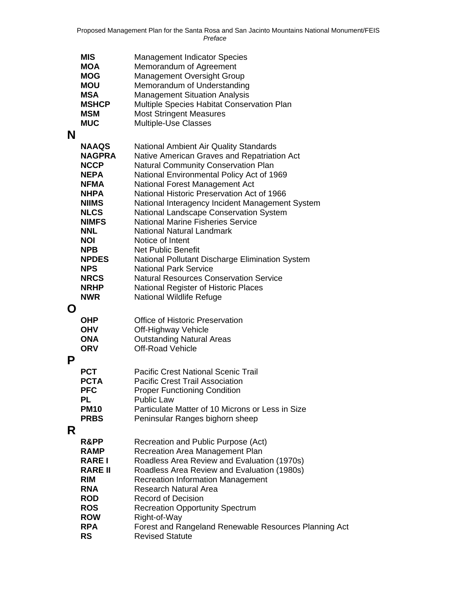|   | <b>MIS</b>     | <b>Management Indicator Species</b>                   |
|---|----------------|-------------------------------------------------------|
|   | <b>MOA</b>     | Memorandum of Agreement                               |
|   | <b>MOG</b>     | <b>Management Oversight Group</b>                     |
|   | <b>MOU</b>     | Memorandum of Understanding                           |
|   | <b>MSA</b>     | <b>Management Situation Analysis</b>                  |
|   | <b>MSHCP</b>   | Multiple Species Habitat Conservation Plan            |
|   | <b>MSM</b>     | <b>Most Stringent Measures</b>                        |
|   | <b>MUC</b>     | Multiple-Use Classes                                  |
| N |                |                                                       |
|   | <b>NAAQS</b>   | <b>National Ambient Air Quality Standards</b>         |
|   | <b>NAGPRA</b>  | Native American Graves and Repatriation Act           |
|   | <b>NCCP</b>    | <b>Natural Community Conservation Plan</b>            |
|   | <b>NEPA</b>    | National Environmental Policy Act of 1969             |
|   | <b>NFMA</b>    | National Forest Management Act                        |
|   | <b>NHPA</b>    | National Historic Preservation Act of 1966            |
|   | <b>NIIMS</b>   | National Interagency Incident Management System       |
|   | <b>NLCS</b>    | National Landscape Conservation System                |
|   | <b>NIMFS</b>   | <b>National Marine Fisheries Service</b>              |
|   | <b>NNL</b>     | <b>National Natural Landmark</b>                      |
|   | <b>NOI</b>     | Notice of Intent                                      |
|   | <b>NPB</b>     | <b>Net Public Benefit</b>                             |
|   | <b>NPDES</b>   | National Pollutant Discharge Elimination System       |
|   | <b>NPS</b>     | <b>National Park Service</b>                          |
|   | <b>NRCS</b>    | <b>Natural Resources Conservation Service</b>         |
|   | <b>NRHP</b>    | <b>National Register of Historic Places</b>           |
|   | <b>NWR</b>     | <b>National Wildlife Refuge</b>                       |
| O |                |                                                       |
|   | <b>OHP</b>     | <b>Office of Historic Preservation</b>                |
|   | <b>OHV</b>     | Off-Highway Vehicle                                   |
|   | <b>ONA</b>     | <b>Outstanding Natural Areas</b>                      |
|   | <b>ORV</b>     | <b>Off-Road Vehicle</b>                               |
| P |                |                                                       |
|   | <b>PCT</b>     | <b>Pacific Crest National Scenic Trail</b>            |
|   | <b>PCTA</b>    | <b>Pacific Crest Trail Association</b>                |
|   | <b>PFC</b>     | <b>Proper Functioning Condition</b>                   |
|   | PL             | <b>Public Law</b>                                     |
|   | <b>PM10</b>    | Particulate Matter of 10 Microns or Less in Size      |
|   | <b>PRBS</b>    | Peninsular Ranges bighorn sheep                       |
|   |                |                                                       |
| R |                |                                                       |
|   | R&PP           | Recreation and Public Purpose (Act)                   |
|   | <b>RAMP</b>    | Recreation Area Management Plan                       |
|   | <b>RARE I</b>  | Roadless Area Review and Evaluation (1970s)           |
|   | <b>RARE II</b> | Roadless Area Review and Evaluation (1980s)           |
|   | <b>RIM</b>     | <b>Recreation Information Management</b>              |
|   | <b>RNA</b>     | <b>Research Natural Area</b>                          |
|   | <b>ROD</b>     | <b>Record of Decision</b>                             |
|   | <b>ROS</b>     | <b>Recreation Opportunity Spectrum</b>                |
|   | <b>ROW</b>     | Right-of-Way                                          |
|   | <b>RPA</b>     | Forest and Rangeland Renewable Resources Planning Act |
|   | <b>RS</b>      | <b>Revised Statute</b>                                |